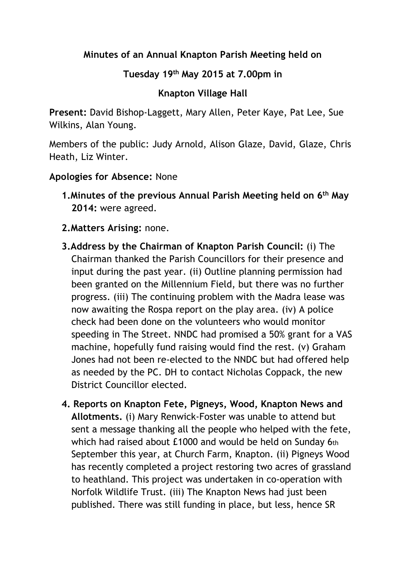## **Minutes of an Annual Knapton Parish Meeting held on**

## **Tuesday 19th May 2015 at 7.00pm in**

## **Knapton Village Hall**

**Present:** David Bishop-Laggett, Mary Allen, Peter Kaye, Pat Lee, Sue Wilkins, Alan Young.

Members of the public: Judy Arnold, Alison Glaze, David, Glaze, Chris Heath, Liz Winter.

## **Apologies for Absence:** None

- **1.Minutes of the previous Annual Parish Meeting held on 6th May 2014:** were agreed.
- **2.Matters Arising:** none.
- **3.Address by the Chairman of Knapton Parish Council:** (i) The Chairman thanked the Parish Councillors for their presence and input during the past year. (ii) Outline planning permission had been granted on the Millennium Field, but there was no further progress. (iii) The continuing problem with the Madra lease was now awaiting the Rospa report on the play area. (iv) A police check had been done on the volunteers who would monitor speeding in The Street. NNDC had promised a 50% grant for a VAS machine, hopefully fund raising would find the rest. (v) Graham Jones had not been re-elected to the NNDC but had offered help as needed by the PC. DH to contact Nicholas Coppack, the new District Councillor elected.
- **4. Reports on Knapton Fete, Pigneys, Wood, Knapton News and Allotments.** (i) Mary Renwick-Foster was unable to attend but sent a message thanking all the people who helped with the fete, which had raised about £1000 and would be held on Sunday 6th September this year, at Church Farm, Knapton. (ii) Pigneys Wood has recently completed a project restoring two acres of grassland to heathland. This project was undertaken in co-operation with Norfolk Wildlife Trust. (iii) The Knapton News had just been published. There was still funding in place, but less, hence SR